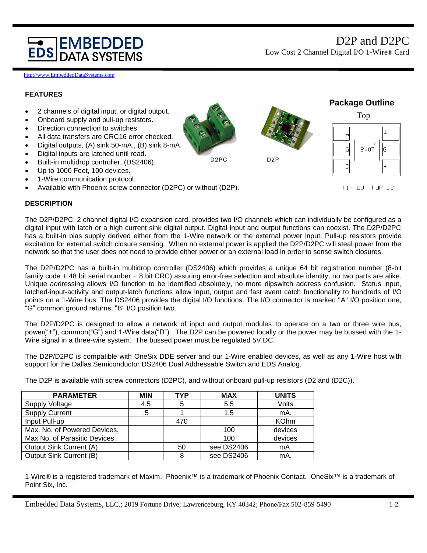# **IEMBEDDED DATA SYSTEMS**

http://www.EmbeddedDataSystems.com

## **FEATURES**



### **DESCRIPTION**

The D2P/D2PC, 2 channel digital I/O expansion card, provides two I/O channels which can individually be configured as a digital input with latch or a high current sink digital output. Digital input and output functions can coexist. The D2P/D2PC has a built-in bias supply derived either from the 1-Wire network or the external power input. Pull-up resistors provide excitation for external switch closure sensing. When no external power is applied the D2P/D2PC will steal power from the network so that the user does not need to provide either power or an external load in order to sense switch closures.

The D2P/D2PC has a built-in multidrop controller (DS2406) which provides a unique 64 bit registration number (8-bit family code + 48 bit serial number + 8 bit CRC) assuring error-free selection and absolute identity; no two parts are alike. Unique addressing allows I/O function to be identified absolutely, no more dipswitch address confusion. Status input, latched-input-activity and output-latch functions allow input, output and fast event catch functionality to hundreds of I/O points on a 1-Wire bus. The DS2406 provides the digital I/O functions. The I/O connector is marked "A" I/O position one, "G" common ground returns, "B" I/O position two.

The D2P/D2PC is designed to allow a network of input and output modules to operate on a two or three wire bus, power("+"), common("G") and 1-Wire data("D"). The D2P can be powered locally or the power may be bussed with the 1- Wire signal in a three-wire system. The bussed power must be regulated 5V DC.

The D2P/D2PC is compatible with OneSix DDE server and our 1-Wire enabled devices, as well as any 1-Wire host with support for the Dallas Semiconductor DS2406 Dual Addressable Switch and EDS Analog.

The D2P is available with screw connectors (D2PC), and without onboard pull-up resistors (D2 and (D2C)).

| <b>PARAMETER</b>              | MIN | <b>TYP</b> | <b>MAX</b> | <b>UNITS</b> |
|-------------------------------|-----|------------|------------|--------------|
| <b>Supply Voltage</b>         | 4.5 | 5          | 5.5        | Volts        |
| <b>Supply Current</b>         | .5  |            | 1.5        | mA.          |
| Input Pull-up                 |     | 470        |            | <b>KOhm</b>  |
| Max. No. of Powered Devices.  |     |            | 100        | devices      |
| Max No. of Parasitic Devices. |     |            | 100        | devices      |
| Output Sink Current (A)       |     | 50         | see DS2406 | mA.          |
| Output Sink Current (B)       |     | 8          | see DS2406 | mA.          |

1-Wire® is a registered trademark of Maxim. Phoenix™ is a trademark of Phoenix Contact. OneSix™ is a trademark of Point Six, Inc.

Embedded Data Systems, LLC.; 2019 Fortune Drive; Lawrenceburg, KY 40342; Phone/Fax 502-859-5490 1-2